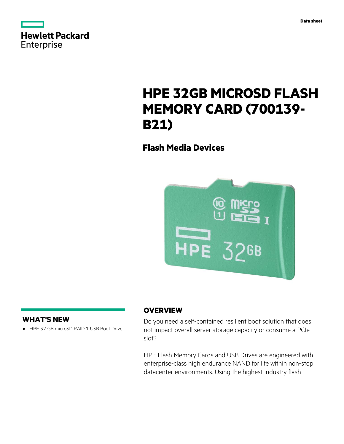| <b>Hewlett Packard</b> |  |  |
|------------------------|--|--|
| Enterprise             |  |  |

# **HPE 32GB MICROSD FLASH MEMORY CARD (700139- B21)**

**Flash Media Devices**



# **WHAT'S NEW**

**·** HPE 32 GB microSD RAID 1 USB Boot Drive

# **OVERVIEW**

Do you need a self-contained resilient boot solution that does not impact overall server storage capacity or consume a PCIe slot?

HPE Flash Memory Cards and USB Drives are engineered with enterprise-class high endurance NAND for life within non-stop datacenter environments. Using the highest industry flash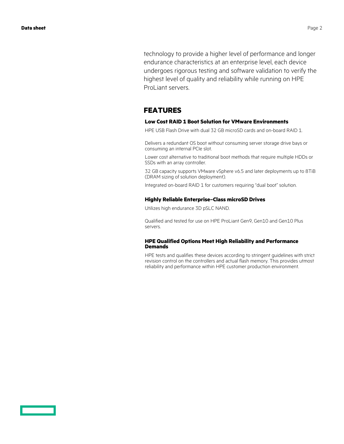technology to provide a higher level of performance and longer endurance characteristics at an enterprise level, each device undergoes rigorous testing and software validation to verify the highest level of quality and reliability while running on HPE ProLiant servers.

# **FEATURES**

### **Low Cost RAID 1 Boot Solution for VMware Environments**

HPE USB Flash Drive with dual 32 GB microSD cards and on-board RAID 1.

Delivers a redundant OS boot without consuming server storage drive bays or consuming an internal PCIe slot.

Lower cost alternative to traditional boot methods that require multiple HDDs or SSDs with an array controller.

32 GB capacity supports VMware vSphere v6.5 and later deployments up to 8TiB (DRAM sizing of solution deployment).

Integrated on-board RAID 1 for customers requiring "dual boot" solution.

### **Highly Reliable Enterprise–Class microSD Drives**

Utilizes high endurance 3D pSLC NAND.

Qualified and tested for use on HPE ProLiant Gen9, Gen10 and Gen10 Plus servers.

### **HPE Qualified Options Meet High Reliability and Performance Demands**

HPE tests and qualifies these devices according to stringent guidelines with strict revision control on the controllers and actual flash memory. This provides utmost reliability and performance within HPE customer production environment.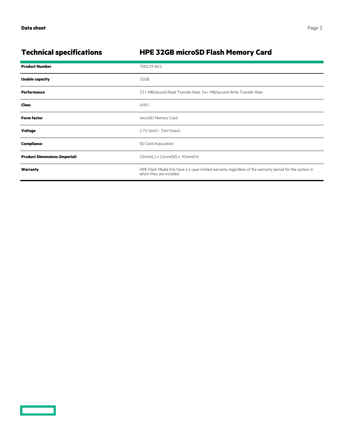<u>a sa saidh an san Saorann an S</u>

# **Technical specifications HPE 32GB microSD Flash Memory Card**

| <b>Product Number</b>                | 700139-B21                                                                                                                           |  |
|--------------------------------------|--------------------------------------------------------------------------------------------------------------------------------------|--|
| <b>Usable capacity</b>               | 32GB                                                                                                                                 |  |
| Performance                          | 33+ MB/second Read Transfer Rate, 34+ MB/second Write Transfer Rate                                                                  |  |
| <b>Class</b>                         | UHS <sub>I</sub>                                                                                                                     |  |
| <b>Form factor</b>                   | microSD Memory Card                                                                                                                  |  |
| Voltage                              | 2.7V (min) - 3.6V (max)                                                                                                              |  |
| Compliance                           | SD Card Association                                                                                                                  |  |
| <b>Product Dimensions (imperial)</b> | 15mm(L) x 11mm(W) x .95mm(H)                                                                                                         |  |
| Warranty                             | HPE Flash Media Kits have a 1-year limited warranty regardless of the warranty period for the system in<br>which they are installed. |  |